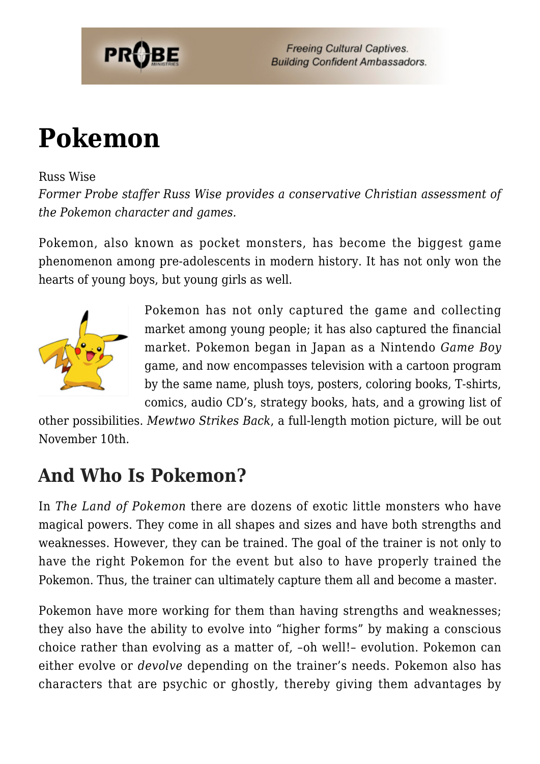

**Freeing Cultural Captives. Building Confident Ambassadors.** 

# **[Pokemon](https://probe.org/pokemon/)**

#### Russ Wise

*Former Probe staffer Russ Wise provides a conservative Christian assessment of the Pokemon character and games.*

Pokemon, also known as pocket monsters, has become the biggest game phenomenon among pre-adolescents in modern history. It has not only won the hearts of young boys, but young girls as well.



Pokemon has not only captured the game and collecting market among young people; it has also captured the financial market. Pokemon began in Japan as a Nintendo *Game Boy* game, and now encompasses television with a cartoon program by the same name, plush toys, posters, coloring books, T-shirts, comics, audio CD's, strategy books, hats, and a growing list of

other possibilities. *Mewtwo Strikes Back*, a full-length motion picture, will be out November 10th.

### **And Who Is Pokemon?**

In *The Land of Pokemon* there are dozens of exotic little monsters who have magical powers. They come in all shapes and sizes and have both strengths and weaknesses. However, they can be trained. The goal of the trainer is not only to have the right Pokemon for the event but also to have properly trained the Pokemon. Thus, the trainer can ultimately capture them all and become a master.

Pokemon have more working for them than having strengths and weaknesses; they also have the ability to evolve into "higher forms" by making a conscious choice rather than evolving as a matter of, –oh well!– evolution. Pokemon can either evolve or *devolve* depending on the trainer's needs. Pokemon also has characters that are psychic or ghostly, thereby giving them advantages by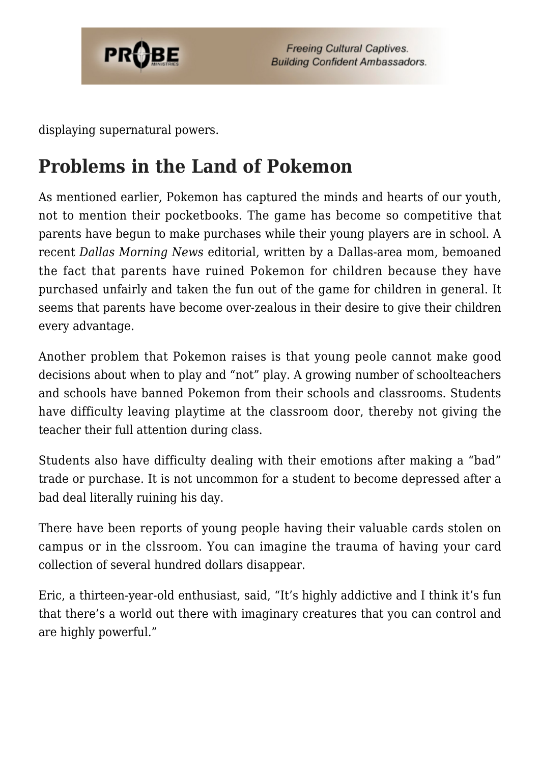

displaying supernatural powers.

# **Problems in the Land of Pokemon**

As mentioned earlier, Pokemon has captured the minds and hearts of our youth, not to mention their pocketbooks. The game has become so competitive that parents have begun to make purchases while their young players are in school. A recent *Dallas Morning News* editorial, written by a Dallas-area mom, bemoaned the fact that parents have ruined Pokemon for children because they have purchased unfairly and taken the fun out of the game for children in general. It seems that parents have become over-zealous in their desire to give their children every advantage.

Another problem that Pokemon raises is that young peole cannot make good decisions about when to play and "not" play. A growing number of schoolteachers and schools have banned Pokemon from their schools and classrooms. Students have difficulty leaving playtime at the classroom door, thereby not giving the teacher their full attention during class.

Students also have difficulty dealing with their emotions after making a "bad" trade or purchase. It is not uncommon for a student to become depressed after a bad deal literally ruining his day.

There have been reports of young people having their valuable cards stolen on campus or in the clssroom. You can imagine the trauma of having your card collection of several hundred dollars disappear.

Eric, a thirteen-year-old enthusiast, said, "It's highly addictive and I think it's fun that there's a world out there with imaginary creatures that you can control and are highly powerful."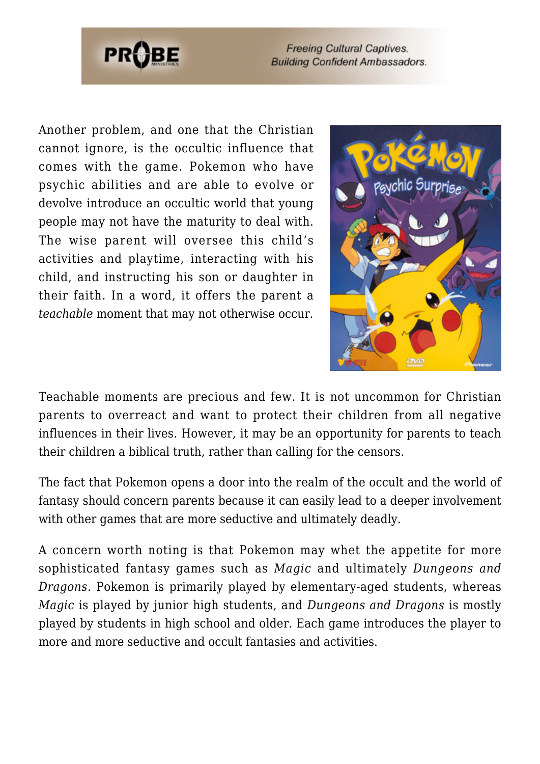

**Freeing Cultural Captives. Building Confident Ambassadors.** 

Another problem, and one that the Christian cannot ignore, is the occultic influence that comes with the game. Pokemon who have psychic abilities and are able to evolve or devolve introduce an occultic world that young people may not have the maturity to deal with. The wise parent will oversee this child's activities and playtime, interacting with his child, and instructing his son or daughter in their faith. In a word, it offers the parent a *teachable* moment that may not otherwise occur.



Teachable moments are precious and few. It is not uncommon for Christian parents to overreact and want to protect their children from all negative influences in their lives. However, it may be an opportunity for parents to teach their children a biblical truth, rather than calling for the censors.

The fact that Pokemon opens a door into the realm of the occult and the world of fantasy should concern parents because it can easily lead to a deeper involvement with other games that are more seductive and ultimately deadly.

A concern worth noting is that Pokemon may whet the appetite for more sophisticated fantasy games such as *Magic* and ultimately *Dungeons and Dragons*. Pokemon is primarily played by elementary-aged students, whereas *Magic* is played by junior high students, and *Dungeons and Dragons* is mostly played by students in high school and older. Each game introduces the player to more and more seductive and occult fantasies and activities.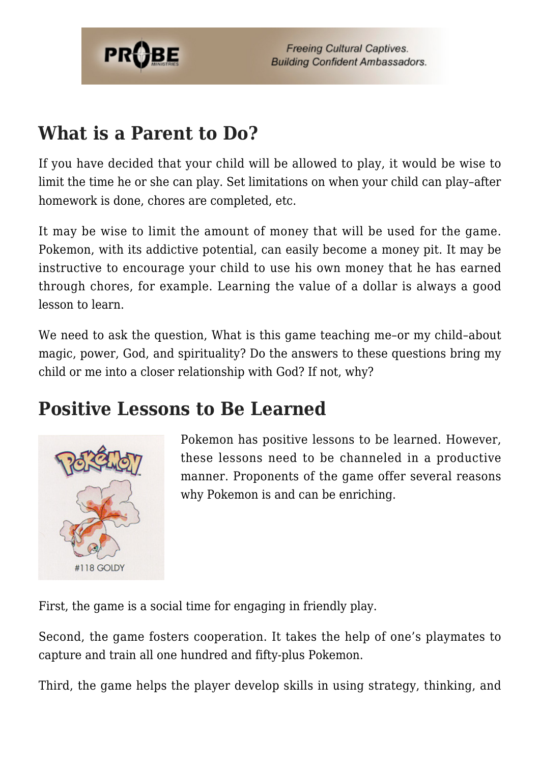

#### **What is a Parent to Do?**

If you have decided that your child will be allowed to play, it would be wise to limit the time he or she can play. Set limitations on when your child can play–after homework is done, chores are completed, etc.

It may be wise to limit the amount of money that will be used for the game. Pokemon, with its addictive potential, can easily become a money pit. It may be instructive to encourage your child to use his own money that he has earned through chores, for example. Learning the value of a dollar is always a good lesson to learn.

We need to ask the question, What is this game teaching me-or my child-about magic, power, God, and spirituality? Do the answers to these questions bring my child or me into a closer relationship with God? If not, why?

#### **Positive Lessons to Be Learned**



Pokemon has positive lessons to be learned. However, these lessons need to be channeled in a productive manner. Proponents of the game offer several reasons why Pokemon is and can be enriching.

First, the game is a social time for engaging in friendly play.

Second, the game fosters cooperation. It takes the help of one's playmates to capture and train all one hundred and fifty-plus Pokemon.

Third, the game helps the player develop skills in using strategy, thinking, and